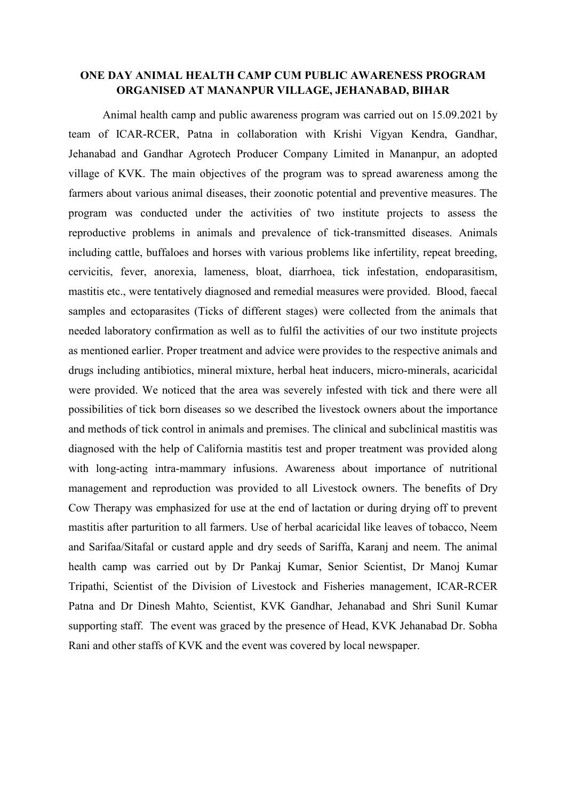## **ONE DAY ANIMAL HEALTH CAMP CUM PUBLIC AWARENESS PROGRAM ORGANISED AT MANANPUR VILLAGE, JEHANABAD, BIHAR**

Animal health camp and public awareness program was carried out on 15.09.2021 by team of ICAR-RCER, Patna in collaboration with Krishi Vigyan Kendra, Gandhar, Jehanabad and Gandhar Agrotech Producer Company Limited in Mananpur, an adopted village of KVK. The main objectives of the program was to spread awareness among the farmers about various animal diseases, their zoonotic potential and preventive measures. The program was conducted under the activities of two institute projects to assess the reproductive problems in animals and prevalence of tick-transmitted diseases. Animals including cattle, buffaloes and horses with various problems like infertility, repeat breeding, cervicitis, fever, anorexia, lameness, bloat, diarrhoea, tick infestation, endoparasitism, mastitis etc., were tentatively diagnosed and remedial measures were provided. Blood, faecal samples and ectoparasites (Ticks of different stages) were collected from the animals that needed laboratory confirmation as well as to fulfil the activities of our two institute projects as mentioned earlier. Proper treatment and advice were provides to the respective animals and drugs including antibiotics, mineral mixture, herbal heat inducers, micro-minerals, acaricidal were provided. We noticed that the area was severely infested with tick and there were all possibilities of tick born diseases so we described the livestock owners about the importance and methods of tick control in animals and premises. The clinical and subclinical mastitis was diagnosed with the help of California mastitis test and proper treatment was provided along with long-acting intra-mammary infusions. Awareness about importance of nutritional management and reproduction was provided to all Livestock owners. The benefits of Dry Cow Therapy was emphasized for use at the end of lactation or during drying off to prevent mastitis after parturition to all farmers. Use of herbal acaricidal like leaves of tobacco, Neem and Sarifaa/Sitafal or custard apple and dry seeds of Sariffa, Karanj and neem. The animal health camp was carried out by Dr Pankaj Kumar, Senior Scientist, Dr Manoj Kumar Tripathi, Scientist of the Division of Livestock and Fisheries management, ICAR-RCER Patna and Dr Dinesh Mahto, Scientist, KVK Gandhar, Jehanabad and Shri Sunil Kumar supporting staff. The event was graced by the presence of Head, KVK Jehanabad Dr. Sobha Rani and other staffs of KVK and the event was covered by local newspaper.